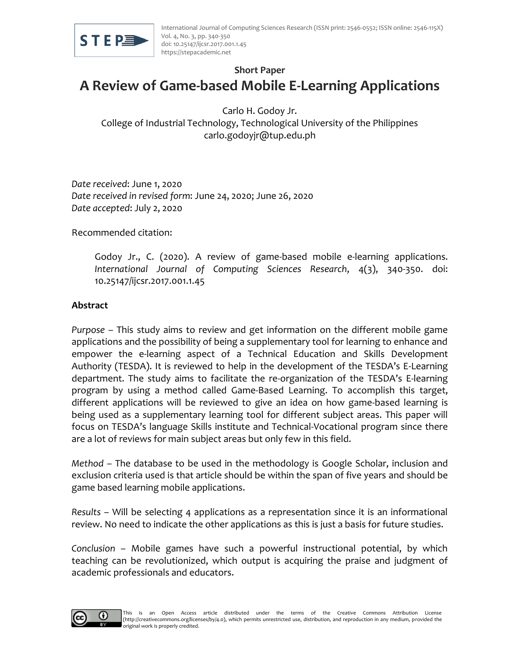

### **Short Paper**

# **A Review of Game-based Mobile E-Learning Applications**

Carlo H. Godoy Jr. College of Industrial Technology, Technological University of the Philippines carlo.godoyjr@tup.edu.ph

*Date received*: June 1, 2020 *Date received in revised form*: June 24, 2020; June 26, 2020 *Date accepted*: July 2, 2020

Recommended citation:

Godoy Jr., C. (2020). A review of game-based mobile e-learning applications. *International Journal of Computing Sciences Research*, 4(3), 340-350. doi: 10.25147/ijcsr.2017.001.1.45

## **Abstract**

*Purpose* – This study aims to review and get information on the different mobile game applications and the possibility of being a supplementary tool for learning to enhance and empower the e-learning aspect of a Technical Education and Skills Development Authority (TESDA). It is reviewed to help in the development of the TESDA's E-Learning department. The study aims to facilitate the re-organization of the TESDA's E-learning program by using a method called Game-Based Learning. To accomplish this target, different applications will be reviewed to give an idea on how game-based learning is being used as a supplementary learning tool for different subject areas. This paper will focus on TESDA's language Skills institute and Technical-Vocational program since there are a lot of reviews for main subject areas but only few in this field.

*Method* – The database to be used in the methodology is Google Scholar, inclusion and exclusion criteria used is that article should be within the span of five years and should be game based learning mobile applications.

*Results* – Will be selecting 4 applications as a representation since it is an informational review. No need to indicate the other applications as this is just a basis for future studies.

*Conclusion* – Mobile games have such a powerful instructional potential, by which teaching can be revolutionized, which output is acquiring the praise and judgment of academic professionals and educators.

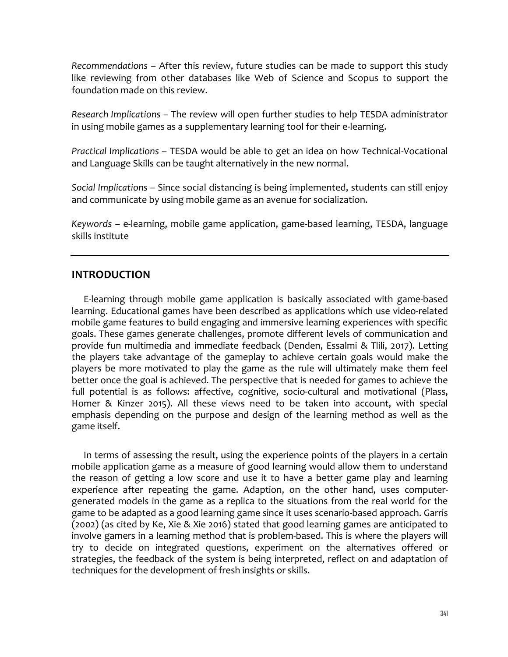*Recommendations* – After this review, future studies can be made to support this study like reviewing from other databases like Web of Science and Scopus to support the foundation made on this review.

*Research Implications* – The review will open further studies to help TESDA administrator in using mobile games as a supplementary learning tool for their e-learning.

*Practical Implications* – TESDA would be able to get an idea on how Technical-Vocational and Language Skills can be taught alternatively in the new normal.

*Social Implications* – Since social distancing is being implemented, students can still enjoy and communicate by using mobile game as an avenue for socialization.

*Keywords* – e-learning, mobile game application, game-based learning, TESDA, language skills institute

## **INTRODUCTION**

E-learning through mobile game application is basically associated with game-based learning. Educational games have been described as applications which use video-related mobile game features to build engaging and immersive learning experiences with specific goals. These games generate challenges, promote different levels of communication and provide fun multimedia and immediate feedback (Denden, Essalmi & Tlili, 2017). Letting the players take advantage of the gameplay to achieve certain goals would make the players be more motivated to play the game as the rule will ultimately make them feel better once the goal is achieved. The perspective that is needed for games to achieve the full potential is as follows: affective, cognitive, socio-cultural and motivational (Plass, Homer & Kinzer 2015). All these views need to be taken into account, with special emphasis depending on the purpose and design of the learning method as well as the game itself.

In terms of assessing the result, using the experience points of the players in a certain mobile application game as a measure of good learning would allow them to understand the reason of getting a low score and use it to have a better game play and learning experience after repeating the game. Adaption, on the other hand, uses computergenerated models in the game as a replica to the situations from the real world for the game to be adapted as a good learning game since it uses scenario-based approach. Garris (2002) (as cited by Ke, Xie & Xie 2016) stated that good learning games are anticipated to involve gamers in a learning method that is problem-based. This is where the players will try to decide on integrated questions, experiment on the alternatives offered or strategies, the feedback of the system is being interpreted, reflect on and adaptation of techniques for the development of fresh insights or skills.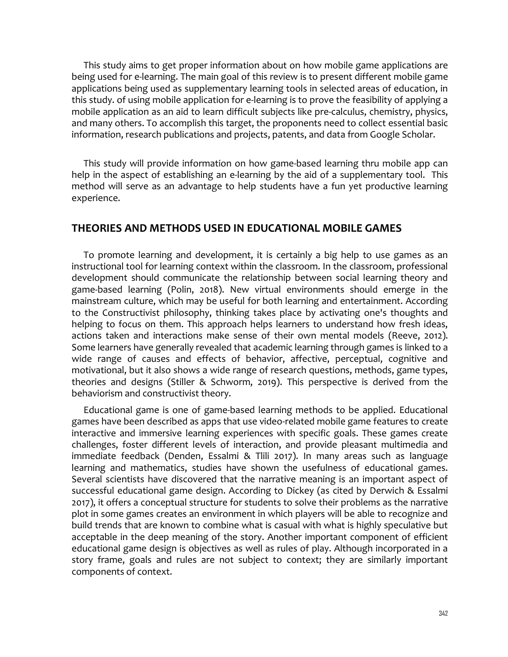This study aims to get proper information about on how mobile game applications are being used for e-learning. The main goal of this review is to present different mobile game applications being used as supplementary learning tools in selected areas of education, in this study. of using mobile application for e-learning is to prove the feasibility of applying a mobile application as an aid to learn difficult subjects like pre-calculus, chemistry, physics, and many others. To accomplish this target, the proponents need to collect essential basic information, research publications and projects, patents, and data from Google Scholar.

This study will provide information on how game-based learning thru mobile app can help in the aspect of establishing an e-learning by the aid of a supplementary tool. This method will serve as an advantage to help students have a fun yet productive learning experience.

#### **THEORIES AND METHODS USED IN EDUCATIONAL MOBILE GAMES**

To promote learning and development, it is certainly a big help to use games as an instructional tool for learning context within the classroom. In the classroom, professional development should communicate the relationship between social learning theory and game-based learning (Polin, 2018). New virtual environments should emerge in the mainstream culture, which may be useful for both learning and entertainment. According to the Constructivist philosophy, thinking takes place by activating one's thoughts and helping to focus on them. This approach helps learners to understand how fresh ideas, actions taken and interactions make sense of their own mental models (Reeve, 2012). Some learners have generally revealed that academic learning through games is linked to a wide range of causes and effects of behavior, affective, perceptual, cognitive and motivational, but it also shows a wide range of research questions, methods, game types, theories and designs (Stiller & Schworm, 2019). This perspective is derived from the behaviorism and constructivist theory.

Educational game is one of game-based learning methods to be applied. Educational games have been described as apps that use video-related mobile game features to create interactive and immersive learning experiences with specific goals. These games create challenges, foster different levels of interaction, and provide pleasant multimedia and immediate feedback (Denden, Essalmi & Tlili 2017). In many areas such as language learning and mathematics, studies have shown the usefulness of educational games. Several scientists have discovered that the narrative meaning is an important aspect of successful educational game design. According to Dickey (as cited by Derwich & Essalmi 2017), it offers a conceptual structure for students to solve their problems as the narrative plot in some games creates an environment in which players will be able to recognize and build trends that are known to combine what is casual with what is highly speculative but acceptable in the deep meaning of the story. Another important component of efficient educational game design is objectives as well as rules of play. Although incorporated in a story frame, goals and rules are not subject to context; they are similarly important components of context.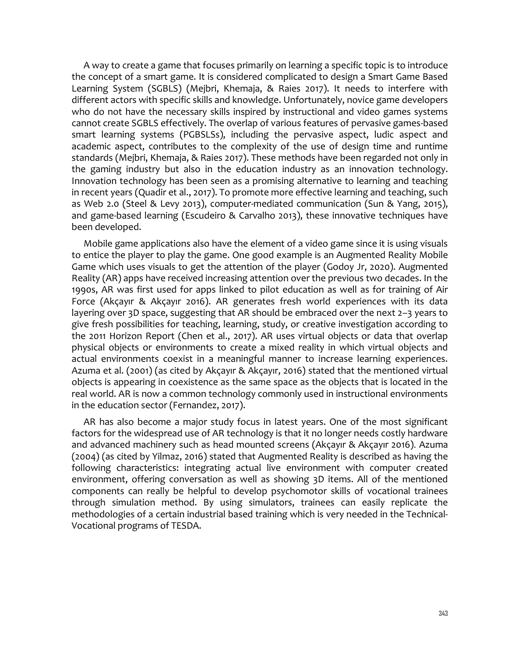A way to create a game that focuses primarily on learning a specific topic is to introduce the concept of a smart game. It is considered complicated to design a Smart Game Based Learning System (SGBLS) (Mejbri, Khemaja, & Raies 2017). It needs to interfere with different actors with specific skills and knowledge. Unfortunately, novice game developers who do not have the necessary skills inspired by instructional and video games systems cannot create SGBLS effectively. The overlap of various features of pervasive games-based smart learning systems (PGBSLSs), including the pervasive aspect, ludic aspect and academic aspect, contributes to the complexity of the use of design time and runtime standards (Mejbri, Khemaja, & Raies 2017). These methods have been regarded not only in the gaming industry but also in the education industry as an innovation technology. Innovation technology has been seen as a promising alternative to learning and teaching in recent years (Quadir et al., 2017). To promote more effective learning and teaching, such as Web 2.0 (Steel & Levy 2013), computer-mediated communication (Sun & Yang, 2015), and game-based learning (Escudeiro & Carvalho 2013), these innovative techniques have been developed.

Mobile game applications also have the element of a video game since it is using visuals to entice the player to play the game. One good example is an Augmented Reality Mobile Game which uses visuals to get the attention of the player (Godoy Jr, 2020). Augmented Reality (AR) apps have received increasing attention over the previous two decades. In the 1990s, AR was first used for apps linked to pilot education as well as for training of Air Force (Akçayır & Akçayır 2016). AR generates fresh world experiences with its data layering over 3D space, suggesting that AR should be embraced over the next 2–3 years to give fresh possibilities for teaching, learning, study, or creative investigation according to the 2011 Horizon Report (Chen et al., 2017). AR uses virtual objects or data that overlap physical objects or environments to create a mixed reality in which virtual objects and actual environments coexist in a meaningful manner to increase learning experiences. Azuma et al. (2001) (as cited by Akçayır & Akçayır, 2016) stated that the mentioned virtual objects is appearing in coexistence as the same space as the objects that is located in the real world. AR is now a common technology commonly used in instructional environments in the education sector (Fernandez, 2017).

AR has also become a major study focus in latest years. One of the most significant factors for the widespread use of AR technology is that it no longer needs costly hardware and advanced machinery such as head mounted screens (Akçayır & Akçayır 2016). Azuma (2004) (as cited by Yilmaz, 2016) stated that Augmented Reality is described as having the following characteristics: integrating actual live environment with computer created environment, offering conversation as well as showing 3D items. All of the mentioned components can really be helpful to develop psychomotor skills of vocational trainees through simulation method. By using simulators, trainees can easily replicate the methodologies of a certain industrial based training which is very needed in the Technical-Vocational programs of TESDA.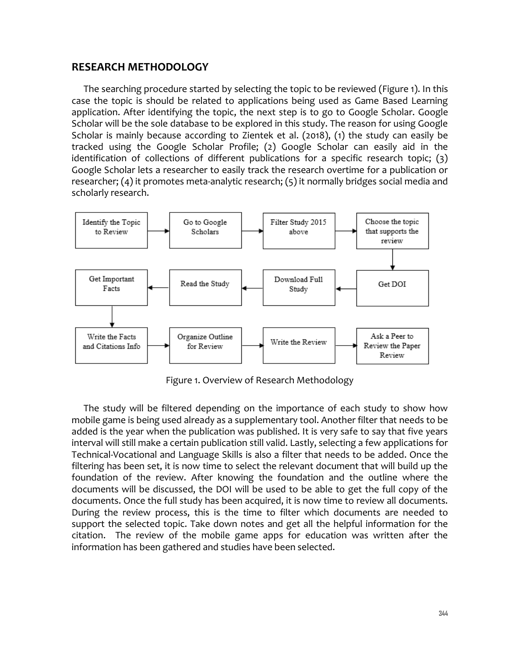#### **RESEARCH METHODOLOGY**

The searching procedure started by selecting the topic to be reviewed (Figure 1). In this case the topic is should be related to applications being used as Game Based Learning application. After identifying the topic, the next step is to go to Google Scholar. Google Scholar will be the sole database to be explored in this study. The reason for using Google Scholar is mainly because according to Zientek et al. (2018), (1) the study can easily be tracked using the Google Scholar Profile; (2) Google Scholar can easily aid in the identification of collections of different publications for a specific research topic; (3) Google Scholar lets a researcher to easily track the research overtime for a publication or researcher; (4) it promotes meta-analytic research; (5) it normally bridges social media and scholarly research.



Figure 1. Overview of Research Methodology

The study will be filtered depending on the importance of each study to show how mobile game is being used already as a supplementary tool. Another filter that needs to be added is the year when the publication was published. It is very safe to say that five years interval will still make a certain publication still valid. Lastly, selecting a few applications for Technical-Vocational and Language Skills is also a filter that needs to be added. Once the filtering has been set, it is now time to select the relevant document that will build up the foundation of the review. After knowing the foundation and the outline where the documents will be discussed, the DOI will be used to be able to get the full copy of the documents. Once the full study has been acquired, it is now time to review all documents. During the review process, this is the time to filter which documents are needed to support the selected topic. Take down notes and get all the helpful information for the citation. The review of the mobile game apps for education was written after the information has been gathered and studies have been selected.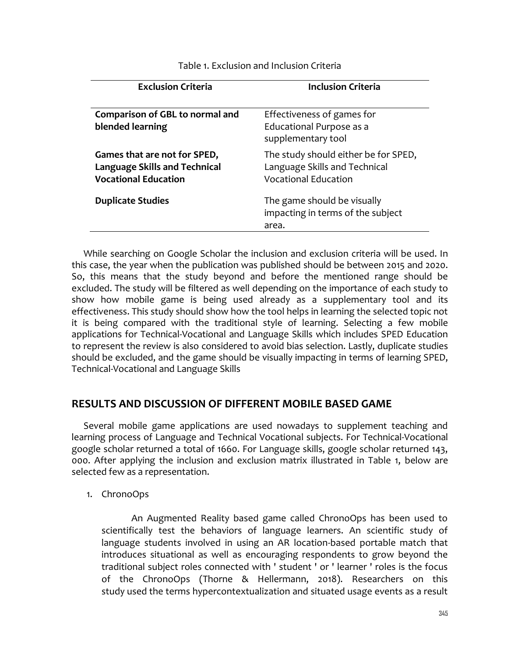| <b>Exclusion Criteria</b>                                                                           | <b>Inclusion Criteria</b>                                                                            |
|-----------------------------------------------------------------------------------------------------|------------------------------------------------------------------------------------------------------|
| Comparison of GBL to normal and<br>blended learning                                                 | Effectiveness of games for<br>Educational Purpose as a<br>supplementary tool                         |
| Games that are not for SPED,<br><b>Language Skills and Technical</b><br><b>Vocational Education</b> | The study should either be for SPED,<br>Language Skills and Technical<br><b>Vocational Education</b> |
| <b>Duplicate Studies</b>                                                                            | The game should be visually<br>impacting in terms of the subject<br>area.                            |
|                                                                                                     |                                                                                                      |

Table 1. Exclusion and Inclusion Criteria

While searching on Google Scholar the inclusion and exclusion criteria will be used. In this case, the year when the publication was published should be between 2015 and 2020. So, this means that the study beyond and before the mentioned range should be excluded. The study will be filtered as well depending on the importance of each study to show how mobile game is being used already as a supplementary tool and its effectiveness. This study should show how the tool helps in learning the selected topic not it is being compared with the traditional style of learning. Selecting a few mobile applications for Technical-Vocational and Language Skills which includes SPED Education to represent the review is also considered to avoid bias selection. Lastly, duplicate studies should be excluded, and the game should be visually impacting in terms of learning SPED, Technical-Vocational and Language Skills

# **RESULTS AND DISCUSSION OF DIFFERENT MOBILE BASED GAME**

Several mobile game applications are used nowadays to supplement teaching and learning process of Language and Technical Vocational subjects. For Technical-Vocational google scholar returned a total of 1660. For Language skills, google scholar returned 143, 000. After applying the inclusion and exclusion matrix illustrated in Table 1, below are selected few as a representation.

1. ChronoOps

An Augmented Reality based game called ChronoOps has been used to scientifically test the behaviors of language learners. An scientific study of language students involved in using an AR location-based portable match that introduces situational as well as encouraging respondents to grow beyond the traditional subject roles connected with ' student ' or ' learner ' roles is the focus of the ChronoOps (Thorne & Hellermann, 2018). Researchers on this study used the terms hypercontextualization and situated usage events as a result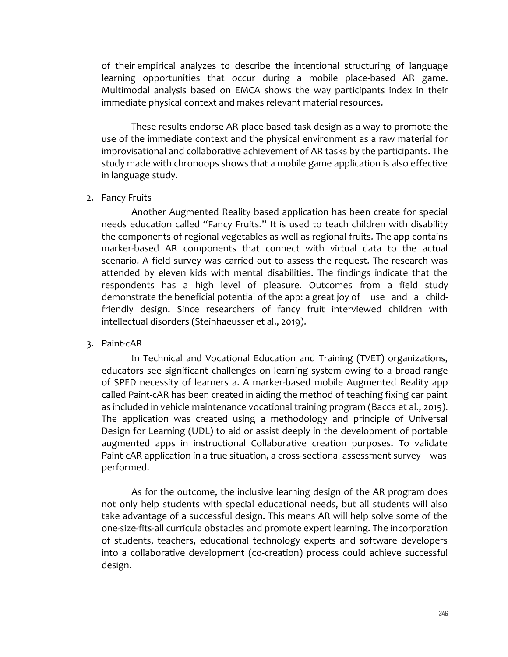of their empirical analyzes to describe the intentional structuring of language learning opportunities that occur during a mobile place-based AR game. Multimodal analysis based on EMCA shows the way participants index in their immediate physical context and makes relevant material resources.

These results endorse AR place-based task design as a way to promote the use of the immediate context and the physical environment as a raw material for improvisational and collaborative achievement of AR tasks by the participants. The study made with chronoops shows that a mobile game application is also effective in language study.

#### 2. Fancy Fruits

Another Augmented Reality based application has been create for special needs education called "Fancy Fruits." It is used to teach children with disability the components of regional vegetables as well as regional fruits. The app contains marker-based AR components that connect with virtual data to the actual scenario. A field survey was carried out to assess the request. The research was attended by eleven kids with mental disabilities. The findings indicate that the respondents has a high level of pleasure. Outcomes from a field study demonstrate the beneficial potential of the app: a great joy of use and a childfriendly design. Since researchers of fancy fruit interviewed children with intellectual disorders (Steinhaeusser et al., 2019).

#### 3. Paint-cAR

In Technical and Vocational Education and Training (TVET) organizations, educators see significant challenges on learning system owing to a broad range of SPED necessity of learners a. A marker-based mobile Augmented Reality app called Paint-cAR has been created in aiding the method of teaching fixing car paint as included in vehicle maintenance vocational training program (Bacca et al., 2015). The application was created using a methodology and principle of Universal Design for Learning (UDL) to aid or assist deeply in the development of portable augmented apps in instructional Collaborative creation purposes. To validate Paint-cAR application in a true situation, a cross-sectional assessment survey was performed.

As for the outcome, the inclusive learning design of the AR program does not only help students with special educational needs, but all students will also take advantage of a successful design. This means AR will help solve some of the one-size-fits-all curricula obstacles and promote expert learning. The incorporation of students, teachers, educational technology experts and software developers into a collaborative development (co-creation) process could achieve successful design.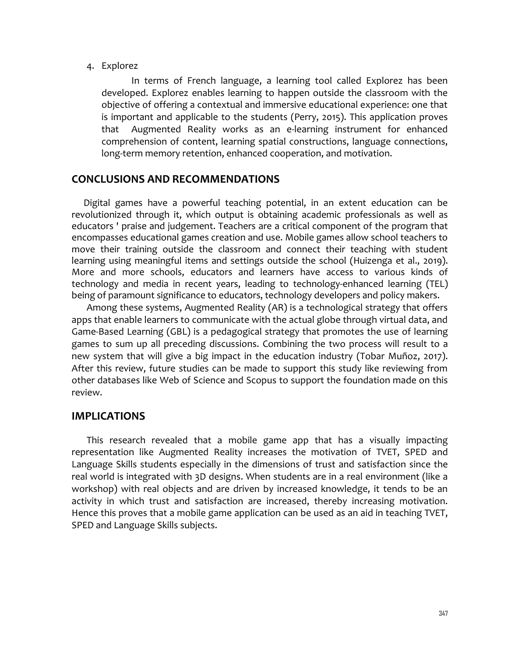#### 4. Explorez

In terms of French language, a learning tool called Explorez has been developed. Explorez enables learning to happen outside the classroom with the objective of offering a contextual and immersive educational experience: one that is important and applicable to the students (Perry, 2015). This application proves that Augmented Reality works as an e-learning instrument for enhanced comprehension of content, learning spatial constructions, language connections, long-term memory retention, enhanced cooperation, and motivation.

## **CONCLUSIONS AND RECOMMENDATIONS**

Digital games have a powerful teaching potential, in an extent education can be revolutionized through it, which output is obtaining academic professionals as well as educators ' praise and judgement. Teachers are a critical component of the program that encompasses educational games creation and use. Mobile games allow school teachers to move their training outside the classroom and connect their teaching with student learning using meaningful items and settings outside the school (Huizenga et al., 2019). More and more schools, educators and learners have access to various kinds of technology and media in recent years, leading to technology-enhanced learning (TEL) being of paramount significance to educators, technology developers and policy makers.

Among these systems, Augmented Reality (AR) is a technological strategy that offers apps that enable learners to communicate with the actual globe through virtual data, and Game-Based Learning (GBL) is a pedagogical strategy that promotes the use of learning games to sum up all preceding discussions. Combining the two process will result to a new system that will give a big impact in the education industry (Tobar Muñoz, 2017). After this review, future studies can be made to support this study like reviewing from other databases like Web of Science and Scopus to support the foundation made on this review.

## **IMPLICATIONS**

This research revealed that a mobile game app that has a visually impacting representation like Augmented Reality increases the motivation of TVET, SPED and Language Skills students especially in the dimensions of trust and satisfaction since the real world is integrated with 3D designs. When students are in a real environment (like a workshop) with real objects and are driven by increased knowledge, it tends to be an activity in which trust and satisfaction are increased, thereby increasing motivation. Hence this proves that a mobile game application can be used as an aid in teaching TVET, SPED and Language Skills subjects.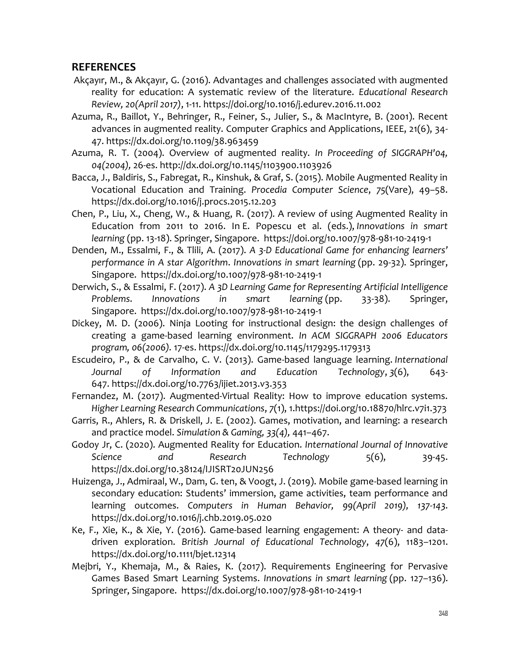# **REFERENCES**

- Akçayır, M., & Akçayır, G. (2016). Advantages and challenges associated with augmented reality for education: A systematic review of the literature. *Educational Research Review, 20(April 2017)*, 1-11. https://doi.org/10.1016/j.edurev.2016.11.002
- Azuma, R., Baillot, Y., Behringer, R., Feiner, S., Julier, S., & MacIntyre, B. (2001). Recent advances in augmented reality. Computer Graphics and Applications, IEEE, 21(6), 34- 47. https://dx.doi.org/10.1109/38.963459
- Azuma, R. T. (2004). Overview of augmented reality. *In Proceeding of SIGGRAPH'04, 04(2004),* 26-es. http://dx.doi.org/10.1145/1103900.1103926
- Bacca, J., Baldiris, S., Fabregat, R., Kinshuk, & Graf, S. (2015). Mobile Augmented Reality in Vocational Education and Training. *Procedia Computer Science*, *75*(Vare), 49–58. https://dx.doi.org/10.1016/j.procs.2015.12.203
- Chen, P., Liu, X., Cheng, W., & Huang, R. (2017). A review of using Augmented Reality in Education from 2011 to 2016. In E. Popescu et al. (eds.), *Innovations in smart learning* (pp. 13-18). Springer, Singapore. https://doi.org/10.1007/978-981-10-2419-1
- Denden, M., Essalmi, F., & Tlili, A. (2017). *A 3-D Educational Game for enhancing learners' performance in A star Algorithm*. *Innovations in smart learning* (pp. 29-32). Springer, Singapore. https://dx.doi.org/10.1007/978-981-10-2419-1
- Derwich, S., & Essalmi, F. (2017). *A 3D Learning Game for Representing Artificial Intelligence Problems*. *Innovations in smart learning* (pp. 33-38). Springer, Singapore. https://dx.doi.org/10.1007/978-981-10-2419-1
- Dickey, M. D. (2006). Ninja Looting for instructional design: the design challenges of creating a game-based learning environment. *In ACM SIGGRAPH 2006 Educators program, 06(2006).* 17-es. https://dx.doi.org/10.1145/1179295.1179313
- Escudeiro, P., & de Carvalho, C. V. (2013). Game-based language learning. *International Journal of Information and Education Technology*, *3*(6), 643- 647. https://dx.doi.org/10.7763/ijiet.2013.v3.353
- Fernandez, M. (2017). Augmented-Virtual Reality: How to improve education systems. *Higher Learning Research Communications*, *7*(1), 1.https://doi.org/10.18870/hlrc.v7i1.373
- Garris, R., Ahlers, R. & Driskell, J. E. (2002). Games, motivation, and learning: a research and practice model. *Simulation & Gaming, 33(4),* 441–467.
- Godoy Jr, C. (2020). Augmented Reality for Education. *International Journal of Innovative Science and Research Technology* 5(6), 39-45. https://dx.doi.org/10.38124/IJISRT20JUN256
- Huizenga, J., Admiraal, W., Dam, G. ten, & Voogt, J. (2019). Mobile game-based learning in secondary education: Students' immersion, game activities, team performance and learning outcomes. *Computers in Human Behavior, 99(April 2019), 137-143*. https://dx.doi.org/10.1016/j.chb.2019.05.020
- Ke, F., Xie, K., & Xie, Y. (2016). Game-based learning engagement: A theory- and datadriven exploration. *British Journal of Educational Technology*, *47*(6), 1183–1201. https://dx.doi.org/10.1111/bjet.12314
- Mejbri, Y., Khemaja, M., & Raies, K. (2017). Requirements Engineering for Pervasive Games Based Smart Learning Systems. *Innovations in smart learning* (pp. 127–136). Springer, Singapore. https://dx.doi.org/10.1007/978-981-10-2419-1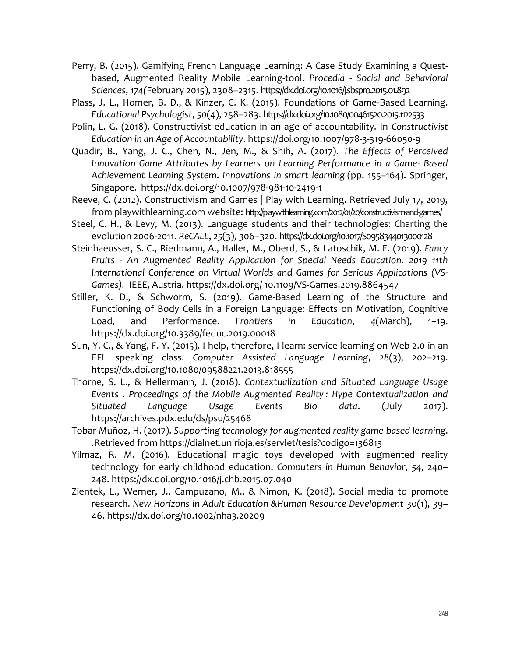- Perry, B. (2015). Gamifying French Language Learning: A Case Study Examining a Questbased, Augmented Reality Mobile Learning-tool. *Procedia - Social and Behavioral Sciences*, *174(*February 2015), 2308–2315. https://dx.doi.org/10.1016/j.sbspro.2015.01.892
- Plass, J. L., Homer, B. D., & Kinzer, C. K. (2015). Foundations of Game-Based Learning. *Educational Psychologist*, *50*(4), 258–283. https://dx.doi.org/10.1080/00461520.2015.1122533
- Polin, L. G. (2018). Constructivist education in an age of accountability. In *Constructivist Education in an Age of Accountability*. https://doi.org/10.1007/978-3-319-66050-9
- Quadir, B., Yang, J. C., Chen, N., Jen, M., & Shih, A. (2017). *The Effects of Perceived Innovation Game Attributes by Learners on Learning Performance in a Game- Based Achievement Learning System*. *Innovations in smart learning* (pp. 155–164). Springer, Singapore. https://dx.doi.org/10.1007/978-981-10-2419-1
- Reeve, C. (2012). Constructivism and Games | Play with Learning. Retrieved July 17, 2019, from playwithlearning.com website: http://playwithleaming.com/2012/01/20/constructivism-and-games/
- Steel, C. H., & Levy, M. (2013). Language students and their technologies: Charting the evolution 2006-2011. *ReCALL*, *25*(3), 306–320. https://dx.doi.org/10.1017/S0958344013000128
- Steinhaeusser, S. C., Riedmann, A., Haller, M., Oberd, S., & Latoschik, M. E. (2019). *Fancy Fruits - An Augmented Reality Application for Special Needs Education. 2019 11th International Conference on Virtual Worlds and Games for Serious Applications (VS-Games).* IEEE, Austria. https://dx.doi.org/ 10.1109/VS-Games.2019.8864547
- Stiller, K. D., & Schworm, S. (2019). Game-Based Learning of the Structure and Functioning of Body Cells in a Foreign Language: Effects on Motivation, Cognitive Load, and Performance. *Frontiers in Education*, *4*(March), 1–19. https://dx.doi.org/10.3389/feduc.2019.00018
- Sun, Y.-C., & Yang, F.-Y. (2015). I help, therefore, I learn: service learning on Web 2.0 in an EFL speaking class. *Computer Assisted Language Learning*, *28*(3), 202–219. https://dx.doi.org/10.1080/09588221.2013.818555
- Thorne, S. L., & Hellermann, J. (2018). *Contextualization and Situated Language Usage Events . Proceedings of the Mobile Augmented Reality : Hype Contextualization and Situated Language Usage Events Bio data*. (July 2017). https://archives.pdx.edu/ds/psu/25468
- Tobar Muñoz, H. (2017). *Supporting technology for augmented reality game-based learning*. .Retrieved from https://dialnet.unirioja.es/servlet/tesis?codigo=136813
- Yilmaz, R. M. (2016). Educational magic toys developed with augmented reality technology for early childhood education. *Computers in Human Behavior*, *54*, 240– 248. https://dx.doi.org/10.1016/j.chb.2015.07.040
- Zientek, L., Werner, J., Campuzano, M., & Nimon, K. (2018). Social media to promote research. *New Horizons in Adult Education &Human Resource Development* 30(1), 39– 46. https://dx.doi.org/10.1002/nha3.20209